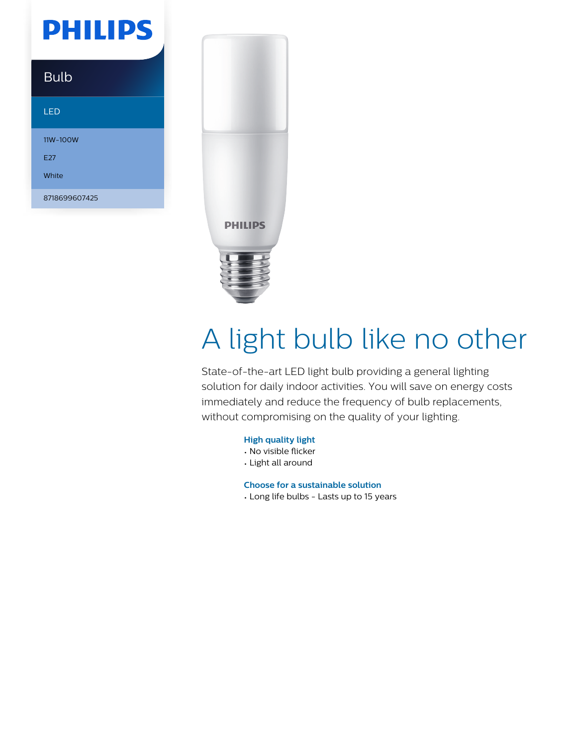## **PHILIPS**

### Bulb LED 11W-100W E27 White 8718699607425



# A light bulb like no other

State-of-the-art LED light bulb providing a general lighting solution for daily indoor activities. You will save on energy costs immediately and reduce the frequency of bulb replacements, without compromising on the quality of your lighting.

#### **High quality light**

- No visible flicker
- Light all around

**Choose for a sustainable solution**

• Long life bulbs - Lasts up to 15 years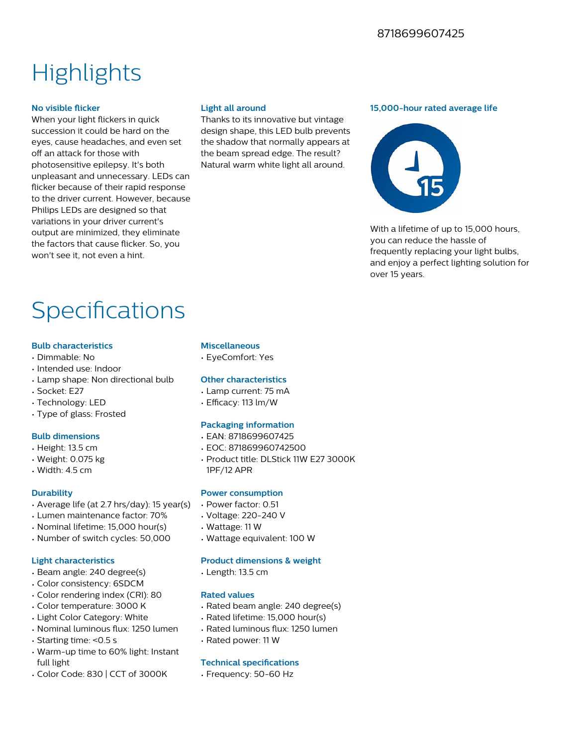## **Highlights**

#### **No visible flicker**

When your light flickers in quick succession it could be hard on the eyes, cause headaches, and even set off an attack for those with photosensitive epilepsy. It's both unpleasant and unnecessary. LEDs can flicker because of their rapid response to the driver current. However, because Philips LEDs are designed so that variations in your driver current's output are minimized, they eliminate the factors that cause flicker. So, you won't see it, not even a hint.

#### **Light all around**

Thanks to its innovative but vintage design shape, this LED bulb prevents the shadow that normally appears at the beam spread edge. The result? Natural warm white light all around.

#### **15,000-hour rated average life**



With a lifetime of up to 15,000 hours. you can reduce the hassle of frequently replacing your light bulbs, and enjoy a perfect lighting solution for over 15 years.

## Specifications

#### **Bulb characteristics**

- Dimmable: No
- Intended use: Indoor
- Lamp shape: Non directional bulb
- Socket: E27
- Technology: LED
- Type of glass: Frosted

#### **Bulb dimensions**

- Height: 13.5 cm
- Weight: 0.075 kg
- Width: 4.5 cm

#### **Durability**

- Average life (at 2.7 hrs/day): 15 year(s)
- Lumen maintenance factor: 70%
- Nominal lifetime: 15,000 hour(s)
- Number of switch cycles: 50,000

#### **Light characteristics**

- Beam angle: 240 degree(s)
- Color consistency: 6SDCM
- Color rendering index (CRI): 80
- Color temperature: 3000 K
- Light Color Category: White
- Nominal luminous flux: 1250 lumen
- Starting time: <0.5 s
- Warm-up time to 60% light: Instant full light
- Color Code: 830 | CCT of 3000K

#### **Miscellaneous**

• EyeComfort: Yes

#### **Other characteristics**

- Lamp current: 75 mA
- $\cdot$  Efficacy: 113 lm/W

#### **Packaging information**

- EAN: 8718699607425
- EOC: 871869960742500
- Product title: DLStick 11W E27 3000K 1PF/12 APR

#### **Power consumption**

- Power factor: 0.51
- Voltage: 220-240 V
- Wattage: 11 W
- Wattage equivalent: 100 W

#### **Product dimensions & weight**

• Length: 13.5 cm

#### **Rated values**

- Rated beam angle: 240 degree(s)
- Rated lifetime: 15,000 hour(s)
- Rated luminous flux: 1250 lumen
- Rated power: 11 W

#### **Technical specifications**

• Frequency: 50-60 Hz